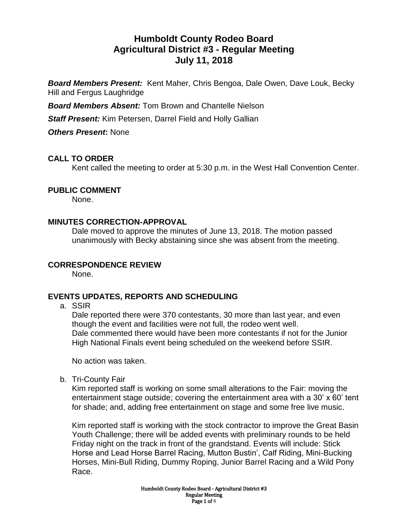# **Humboldt County Rodeo Board Agricultural District #3 - Regular Meeting July 11, 2018**

*Board Members Present:* Kent Maher, Chris Bengoa, Dale Owen, Dave Louk, Becky Hill and Fergus Laughridge

*Board Members Absent:* Tom Brown and Chantelle Nielson

*Staff Present:* Kim Petersen, Darrel Field and Holly Gallian

*Others Present***:** None

## **CALL TO ORDER**

Kent called the meeting to order at 5:30 p.m. in the West Hall Convention Center.

### **PUBLIC COMMENT**

None.

### **MINUTES CORRECTION-APPROVAL**

Dale moved to approve the minutes of June 13, 2018. The motion passed unanimously with Becky abstaining since she was absent from the meeting.

### **CORRESPONDENCE REVIEW**

None.

### **EVENTS UPDATES, REPORTS AND SCHEDULING**

a. SSIR

Dale reported there were 370 contestants, 30 more than last year, and even though the event and facilities were not full, the rodeo went well. Dale commented there would have been more contestants if not for the Junior High National Finals event being scheduled on the weekend before SSIR.

No action was taken.

b. Tri-County Fair

Kim reported staff is working on some small alterations to the Fair: moving the entertainment stage outside; covering the entertainment area with a 30' x 60' tent for shade; and, adding free entertainment on stage and some free live music.

Kim reported staff is working with the stock contractor to improve the Great Basin Youth Challenge; there will be added events with preliminary rounds to be held Friday night on the track in front of the grandstand. Events will include: Stick Horse and Lead Horse Barrel Racing, Mutton Bustin', Calf Riding, Mini-Bucking Horses, Mini-Bull Riding, Dummy Roping, Junior Barrel Racing and a Wild Pony Race.

> Humboldt County Rodeo Board - Agricultural District #3 Regular Meeting Page 1 of 4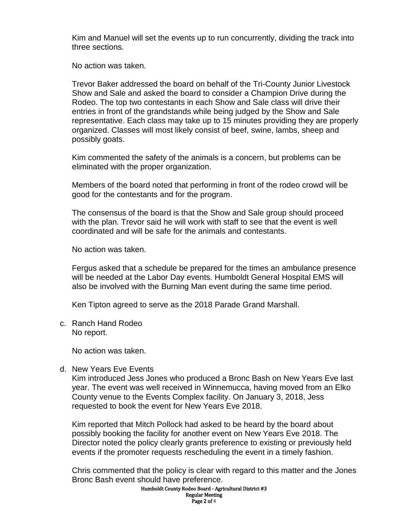Kim and Manuel will set the events up to run concurrently, dividing the track into three sections.

No action was taken.

Trevor Baker addressed the board on behalf of the Tri-County Junior Livestock Show and Sale and asked the board to consider a Champion Drive during the Rodeo. The top two contestants in each Show and Sale class will drive their entries in front of the grandstands while being judged by the Show and Sale representative. Each class may take up to 15 minutes providing they are properly organized. Classes will most likely consist of beef, swine, lambs, sheep and possibly goats.

Kim commented the safety of the animals is a concern, but problems can be eliminated with the proper organization.

Members of the board noted that performing in front of the rodeo crowd will be good for the contestants and for the program.

The consensus of the board is that the Show and Sale group should proceed with the plan. Trevor said he will work with staff to see that the event is well coordinated and will be safe for the animals and contestants.

No action was taken.

Fergus asked that a schedule be prepared for the times an ambulance presence will be needed at the Labor Day events. Humboldt General Hospital EMS will also be involved with the Burning Man event during the same time period.

Ken Tipton agreed to serve as the 2018 Parade Grand Marshall.

c. Ranch Hand Rodeo No report.

No action was taken.

d. New Years Eve Events

Kim introduced Jess Jones who produced a Bronc Bash on New Years Eve last year. The event was well received in Winnemucca, having moved from an Elko County venue to the Events Complex facility. On January 3, 2018, Jess requested to book the event for New Years Eve 2018.

Kim reported that Mitch Pollock had asked to be heard by the board about possibly booking the facility for another event on New Years Eve 2018. The Director noted the policy clearly grants preference to existing or previously held events if the promoter requests rescheduling the event in a timely fashion.

Chris commented that the policy is clear with regard to this matter and the Jones Bronc Bash event should have preference.

Humboldt County Rodeo Board - Agricultural District #3 Regular Meeting Page 2 of 4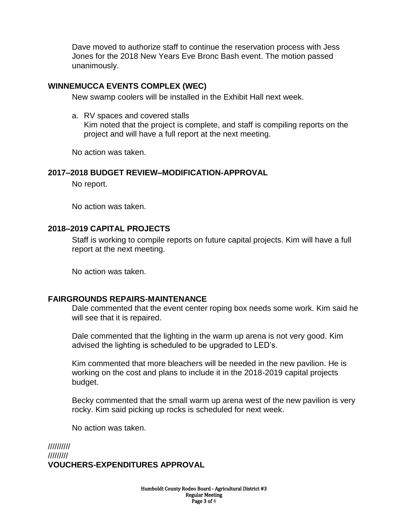Dave moved to authorize staff to continue the reservation process with Jess Jones for the 2018 New Years Eve Bronc Bash event. The motion passed unanimously.

### **WINNEMUCCA EVENTS COMPLEX (WEC)**

New swamp coolers will be installed in the Exhibit Hall next week.

a. RV spaces and covered stalls

Kim noted that the project is complete, and staff is compiling reports on the project and will have a full report at the next meeting.

No action was taken.

### **2017–2018 BUDGET REVIEW–MODIFICATION-APPROVAL**

No report.

No action was taken.

## **2018–2019 CAPITAL PROJECTS**

Staff is working to compile reports on future capital projects. Kim will have a full report at the next meeting.

No action was taken.

### **FAIRGROUNDS REPAIRS-MAINTENANCE**

Dale commented that the event center roping box needs some work. Kim said he will see that it is repaired.

Dale commented that the lighting in the warm up arena is not very good. Kim advised the lighting is scheduled to be upgraded to LED's.

Kim commented that more bleachers will be needed in the new pavilion. He is working on the cost and plans to include it in the 2018-2019 capital projects budget.

Becky commented that the small warm up arena west of the new pavilion is very rocky. Kim said picking up rocks is scheduled for next week.

No action was taken.

////////// ///////// **VOUCHERS-EXPENDITURES APPROVAL**